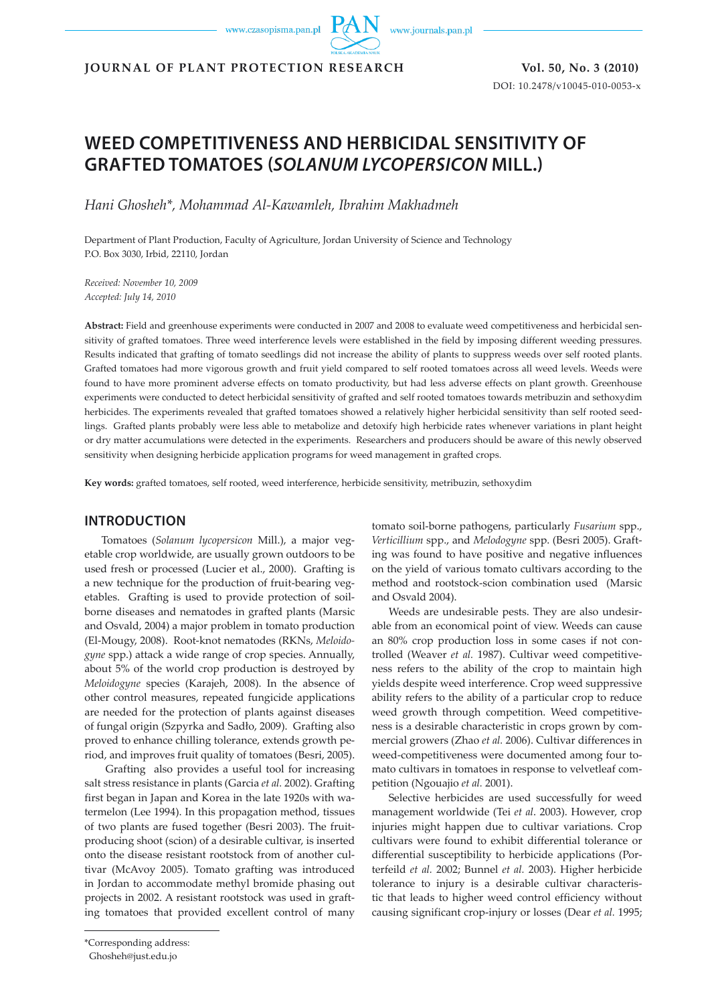www.czasopisma.pan.pl

www.journals.pan.pl

**JOURNAL OF PLANT PROTECTION RESEARCH Vol. 50, No. 3 (2010)**

DOI: 10.2478/v10045-010-0053-x

# **WEED COMPETITIVENESS AND HERBICIDAL SENSITIVITY OF GRAFTED TOMATOES (***SOLANUM LYCOPERSICON* **MILL.)**

*Hani Ghosheh\*, Mohammad Al-Kawamleh, Ibrahim Makhadmeh*

Department of Plant Production, Faculty of Agriculture, Jordan University of Science and Technology P.O. Box 3030, Irbid, 22110, Jordan

*Received: November 10, 2009 Accepted: July 14, 2010*

**Abstract:** Field and greenhouse experiments were conducted in 2007 and 2008 to evaluate weed competitiveness and herbicidal sensitivity of grafted tomatoes. Three weed interference levels were established in the field by imposing different weeding pressures. Results indicated that grafting of tomato seedlings did not increase the ability of plants to suppress weeds over self rooted plants. Grafted tomatoes had more vigorous growth and fruit yield compared to self rooted tomatoes across all weed levels. Weeds were found to have more prominent adverse effects on tomato productivity, but had less adverse effects on plant growth. Greenhouse experiments were conducted to detect herbicidal sensitivity of grafted and self rooted tomatoes towards metribuzin and sethoxydim herbicides. The experiments revealed that grafted tomatoes showed a relatively higher herbicidal sensitivity than self rooted seedlings. Grafted plants probably were less able to metabolize and detoxify high herbicide rates whenever variations in plant height or dry matter accumulations were detected in the experiments. Researchers and producers should be aware of this newly observed sensitivity when designing herbicide application programs for weed management in grafted crops.

**Key words:** grafted tomatoes, self rooted, weed interference, herbicide sensitivity, metribuzin, sethoxydim

### **INTRODUCTION**

Tomatoes (*Solanum lycopersicon* Mill.), a major vegetable crop worldwide, are usually grown outdoors to be used fresh or processed (Lucier et al., 2000). Grafting is a new technique for the production of fruit-bearing vegetables. Grafting is used to provide protection of soilborne diseases and nematodes in grafted plants (Marsic and Osvald, 2004) a major problem in tomato production (El-Mougy, 2008). Root-knot nematodes (RKNs, *Meloidogyne* spp.) attack a wide range of crop species. Annually, about 5% of the world crop production is destroyed by *Meloidogyne* species (Karajeh, 2008). In the absence of other control measures, repeated fungicide applications are needed for the protection of plants against diseases of fungal origin (Szpyrka and Sadło, 2009). Grafting also proved to enhance chilling tolerance, extends growth period, and improves fruit quality of tomatoes (Besri, 2005).

 Grafting also provides a useful tool for increasing salt stress resistance in plants (Garcia *et al.* 2002). Grafting first began in Japan and Korea in the late 1920s with watermelon (Lee 1994). In this propagation method, tissues of two plants are fused together (Besri 2003). The fruitproducing shoot (scion) of a desirable cultivar, is inserted onto the disease resistant rootstock from of another cultivar (McAvoy 2005). Tomato grafting was introduced in Jordan to accommodate methyl bromide phasing out projects in 2002. A resistant rootstock was used in grafting tomatoes that provided excellent control of many

ing was found to have positive and negative influences on the yield of various tomato cultivars according to the method and rootstock-scion combination used (Marsic and Osvald 2004). Weeds are undesirable pests. They are also undesir-

tomato soil-borne pathogens, particularly *Fusarium* spp., *Verticillium* spp., and *Melodogyne* spp. (Besri 2005). Graft-

able from an economical point of view. Weeds can cause an 80% crop production loss in some cases if not controlled (Weaver *et al.* 1987). Cultivar weed competitiveness refers to the ability of the crop to maintain high yields despite weed interference. Crop weed suppressive ability refers to the ability of a particular crop to reduce weed growth through competition. Weed competitiveness is a desirable characteristic in crops grown by commercial growers (Zhao *et al.* 2006). Cultivar differences in weed-competitiveness were documented among four tomato cultivars in tomatoes in response to velvetleaf competition (Ngouajio *et al.* 2001).

Selective herbicides are used successfully for weed management worldwide (Tei *et al*. 2003). However, crop injuries might happen due to cultivar variations. Crop cultivars were found to exhibit differential tolerance or differential susceptibility to herbicide applications (Porterfeild *et al.* 2002; Bunnel *et al.* 2003). Higher herbicide tolerance to injury is a desirable cultivar characteristic that leads to higher weed control efficiency without causing significant crop-injury or losses (Dear *et al.* 1995;

<sup>\*</sup>Corresponding address:

Ghosheh@just.edu.jo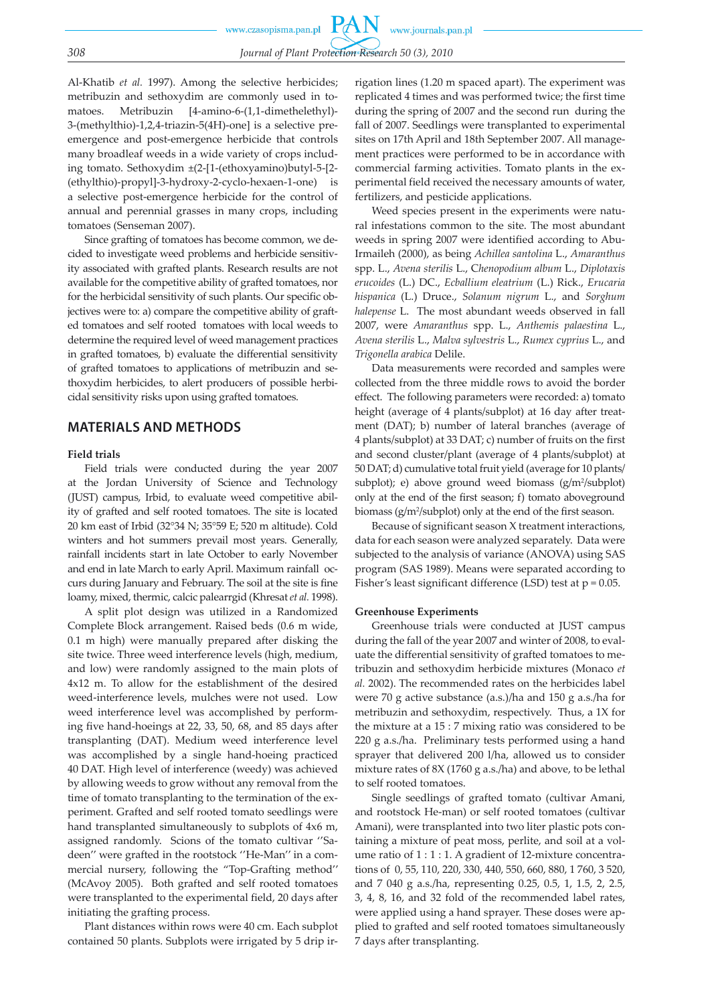Al-Khatib *et al.* 1997). Among the selective herbicides; metribuzin and sethoxydim are commonly used in tomatoes. Metribuzin [4-amino-6-(1,1-dimethelethyl)- 3-(methylthio)-1,2,4-triazin-5(4H)-one] is a selective preemergence and post-emergence herbicide that controls many broadleaf weeds in a wide variety of crops including tomato. Sethoxydim ±(2-[1-(ethoxyamino)butyl-5-[2- (ethylthio)-propyl]-3-hydroxy-2-cyclo-hexaen-1-one) is a selective post-emergence herbicide for the control of annual and perennial grasses in many crops, including tomatoes (Senseman 2007).

Since grafting of tomatoes has become common, we decided to investigate weed problems and herbicide sensitivity associated with grafted plants. Research results are not available for the competitive ability of grafted tomatoes, nor for the herbicidal sensitivity of such plants. Our specific objectives were to: a) compare the competitive ability of grafted tomatoes and self rooted tomatoes with local weeds to determine the required level of weed management practices in grafted tomatoes, b) evaluate the differential sensitivity of grafted tomatoes to applications of metribuzin and sethoxydim herbicides, to alert producers of possible herbicidal sensitivity risks upon using grafted tomatoes.

### **MATERIALS AND METHODS**

#### **Field trials**

Field trials were conducted during the year 2007 at the Jordan University of Science and Technology (JUST) campus, Irbid, to evaluate weed competitive ability of grafted and self rooted tomatoes. The site is located 20 km east of Irbid (32°34 N; 35°59 E; 520 m altitude). Cold winters and hot summers prevail most years. Generally, rainfall incidents start in late October to early November and end in late March to early April. Maximum rainfall occurs during January and February. The soil at the site is fine loamy, mixed, thermic, calcic palearrgid (Khresat *et al.* 1998).

A split plot design was utilized in a Randomized Complete Block arrangement. Raised beds (0.6 m wide, 0.1 m high) were manually prepared after disking the site twice. Three weed interference levels (high, medium, and low) were randomly assigned to the main plots of 4x12 m. To allow for the establishment of the desired weed-interference levels, mulches were not used. Low weed interference level was accomplished by performing five hand-hoeings at 22, 33, 50, 68, and 85 days after transplanting (DAT). Medium weed interference level was accomplished by a single hand-hoeing practiced 40 DAT. High level of interference (weedy) was achieved by allowing weeds to grow without any removal from the time of tomato transplanting to the termination of the experiment. Grafted and self rooted tomato seedlings were hand transplanted simultaneously to subplots of 4x6 m, assigned randomly. Scions of the tomato cultivar ''Sadeen'' were grafted in the rootstock ''He-Man'' in a commercial nursery, following the "Top-Grafting method'' (McAvoy 2005). Both grafted and self rooted tomatoes were transplanted to the experimental field, 20 days after initiating the grafting process.

Plant distances within rows were 40 cm. Each subplot contained 50 plants. Subplots were irrigated by 5 drip irrigation lines (1.20 m spaced apart). The experiment was replicated 4 times and was performed twice; the first time during the spring of 2007 and the second run during the fall of 2007. Seedlings were transplanted to experimental sites on 17th April and 18th September 2007. All management practices were performed to be in accordance with commercial farming activities. Tomato plants in the experimental field received the necessary amounts of water, fertilizers, and pesticide applications.

Weed species present in the experiments were natural infestations common to the site. The most abundant weeds in spring 2007 were identified according to Abu-Irmaileh (2000), as being *Achillea santolina* L., *Amaranthus* spp. L., *Avena sterilis* L., C*henopodium album* L., *Diplotaxis erucoides* (L.) DC., *Ecballium eleatrium* (L.) Rick., *Erucaria hispanica* (L.) Druce., *Solanum nigrum* L., and *Sorghum halepense* L. The most abundant weeds observed in fall 2007, were *Amaranthus* spp. L., *Anthemis palaestina* L., *Avena sterilis* L., *Malva sylvestris* L., *Rumex cyprius* L., and *Trigonella arabica* Delile.

Data measurements were recorded and samples were collected from the three middle rows to avoid the border effect. The following parameters were recorded: a) tomato height (average of 4 plants/subplot) at 16 day after treatment (DAT); b) number of lateral branches (average of 4 plants/subplot) at 33 DAT; c) number of fruits on the first and second cluster/plant (average of 4 plants/subplot) at 50 DAT; d) cumulative total fruit yield (average for 10 plants/ subplot); e) above ground weed biomass  $(g/m^2/subplot)$ only at the end of the first season; f) tomato aboveground biomass (g/m2 /subplot) only at the end of the first season.

Because of significant season X treatment interactions, data for each season were analyzed separately. Data were subjected to the analysis of variance (ANOVA) using SAS program (SAS 1989). Means were separated according to Fisher's least significant difference (LSD) test at p = 0.05.

#### **Greenhouse Experiments**

Greenhouse trials were conducted at JUST campus during the fall of the year 2007 and winter of 2008, to evaluate the differential sensitivity of grafted tomatoes to metribuzin and sethoxydim herbicide mixtures (Monaco *et al.* 2002). The recommended rates on the herbicides label were 70 g active substance (a.s.)/ha and 150 g a.s./ha for metribuzin and sethoxydim, respectively. Thus, a 1X for the mixture at a 15 : 7 mixing ratio was considered to be 220 g a.s./ha. Preliminary tests performed using a hand sprayer that delivered 200 l/ha, allowed us to consider mixture rates of 8X (1760 g a.s./ha) and above, to be lethal to self rooted tomatoes.

Single seedlings of grafted tomato (cultivar Amani, and rootstock He-man) or self rooted tomatoes (cultivar Amani), were transplanted into two liter plastic pots containing a mixture of peat moss, perlite, and soil at a volume ratio of 1 : 1 : 1. A gradient of 12-mixture concentrations of 0, 55, 110, 220, 330, 440, 550, 660, 880, 1 760, 3 520, and 7 040 g a.s./ha, representing 0.25, 0.5, 1, 1.5, 2, 2.5, 3, 4, 8, 16, and 32 fold of the recommended label rates, were applied using a hand sprayer. These doses were applied to grafted and self rooted tomatoes simultaneously 7 days after transplanting.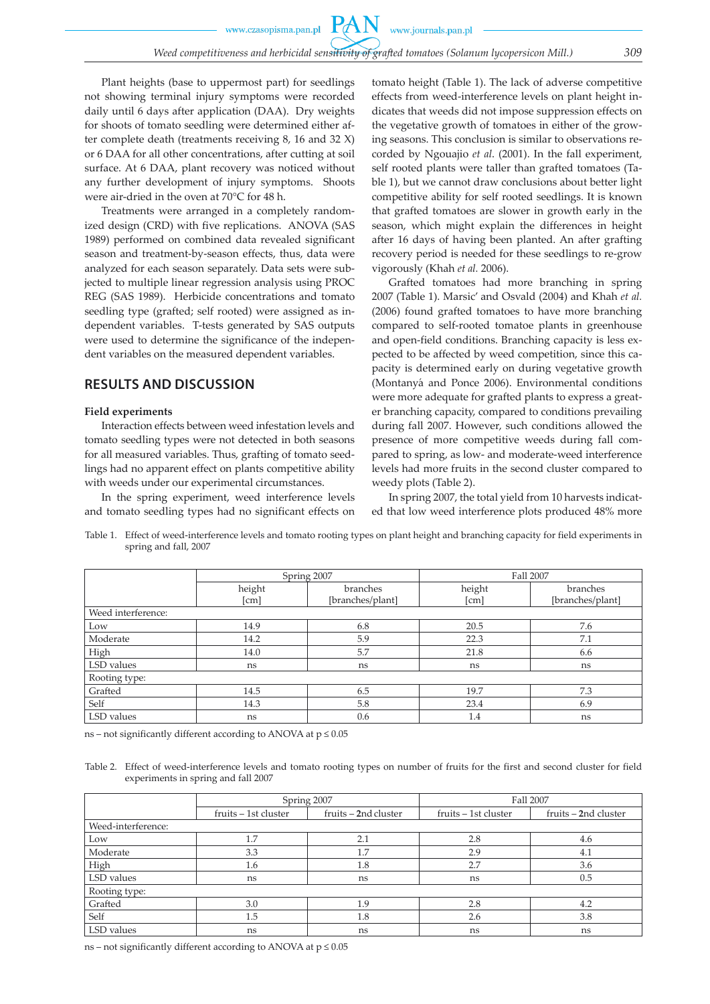Plant heights (base to uppermost part) for seedlings not showing terminal injury symptoms were recorded daily until 6 days after application (DAA). Dry weights for shoots of tomato seedling were determined either after complete death (treatments receiving 8, 16 and 32 X) or 6 DAA for all other concentrations, after cutting at soil surface. At 6 DAA, plant recovery was noticed without any further development of injury symptoms. Shoots were air-dried in the oven at 70°C for 48 h.

Treatments were arranged in a completely randomized design (CRD) with five replications. ANOVA (SAS 1989) performed on combined data revealed significant season and treatment-by-season effects, thus, data were analyzed for each season separately. Data sets were subjected to multiple linear regression analysis using PROC REG (SAS 1989). Herbicide concentrations and tomato seedling type (grafted; self rooted) were assigned as independent variables. T-tests generated by SAS outputs were used to determine the significance of the independent variables on the measured dependent variables.

### **RESULTS AND DISCUSSION**

#### **Field experiments**

Interaction effects between weed infestation levels and tomato seedling types were not detected in both seasons for all measured variables. Thus, grafting of tomato seedlings had no apparent effect on plants competitive ability with weeds under our experimental circumstances.

In the spring experiment, weed interference levels and tomato seedling types had no significant effects on tomato height (Table 1). The lack of adverse competitive effects from weed-interference levels on plant height indicates that weeds did not impose suppression effects on the vegetative growth of tomatoes in either of the growing seasons. This conclusion is similar to observations recorded by Ngouajio *et al*. (2001). In the fall experiment, self rooted plants were taller than grafted tomatoes (Table 1), but we cannot draw conclusions about better light competitive ability for self rooted seedlings. It is known that grafted tomatoes are slower in growth early in the season, which might explain the differences in height after 16 days of having been planted. An after grafting recovery period is needed for these seedlings to re-grow vigorously (Khah *et al.* 2006).

Grafted tomatoes had more branching in spring 2007 (Table 1). Marsic' and Osvald (2004) and Khah *et al.* (2006) found grafted tomatoes to have more branching compared to self-rooted tomatoe plants in greenhouse and open-field conditions. Branching capacity is less expected to be affected by weed competition, since this capacity is determined early on during vegetative growth (Montanyá and Ponce 2006). Environmental conditions were more adequate for grafted plants to express a greater branching capacity, compared to conditions prevailing during fall 2007. However, such conditions allowed the presence of more competitive weeds during fall compared to spring, as low- and moderate-weed interference levels had more fruits in the second cluster compared to weedy plots (Table 2).

In spring 2007, the total yield from 10 harvests indicated that low weed interference plots produced 48% more

Table 1. Effect of weed-interference levels and tomato rooting types on plant height and branching capacity for field experiments in spring and fall, 2007

|                    | Spring 2007        |                  | Fall 2007 |                  |  |
|--------------------|--------------------|------------------|-----------|------------------|--|
|                    | height<br>branches |                  | height    | branches         |  |
|                    | [cm]               | [branches/plant] | [cm]      | [branches/plant] |  |
| Weed interference: |                    |                  |           |                  |  |
| Low                | 14.9               | 6.8              | 20.5      | 7.6              |  |
| Moderate           | 14.2               | 5.9              | 22.3      | 7.1              |  |
| High               | 14.0               | 5.7              | 21.8      | 6.6              |  |
| LSD values         | ns                 | ns               | ns        | ns               |  |
| Rooting type:      |                    |                  |           |                  |  |
| Grafted            | 14.5               | 6.5              | 19.7      | 7.3              |  |
| Self               | 14.3               | 5.8              | 23.4      | 6.9              |  |
| LSD values         | ns                 | 0.6              | 1.4       | ns               |  |

ns – not significantly different according to ANOVA at  $p \leq 0.05$ 

Table 2. Effect of weed-interference levels and tomato rooting types on number of fruits for the first and second cluster for field experiments in spring and fall 2007

|                    | Spring 2007          |                      | Fall 2007            |                      |  |
|--------------------|----------------------|----------------------|----------------------|----------------------|--|
|                    | fruits – 1st cluster | fruits – 2nd cluster | fruits – 1st cluster | fruits – 2nd cluster |  |
| Weed-interference: |                      |                      |                      |                      |  |
| Low                | 1.7                  | 2.1                  | 2.8                  | 4.6                  |  |
| Moderate           | 3.3                  | 1.7                  | 2.9                  | 4.1                  |  |
| High               | 1.6                  | 1.8                  | 2.7                  | 3.6                  |  |
| LSD values         | ns                   | ns                   | ns                   | 0.5                  |  |
| Rooting type:      |                      |                      |                      |                      |  |
| Grafted            | 3.0                  | 1.9                  | 2.8                  | 4.2                  |  |
| Self               | 1.5                  | 1.8                  | 2.6                  | 3.8                  |  |
| LSD values         | ns                   | ns                   | ns                   | ns                   |  |

ns – not significantly different according to ANOVA at  $p \leq 0.05$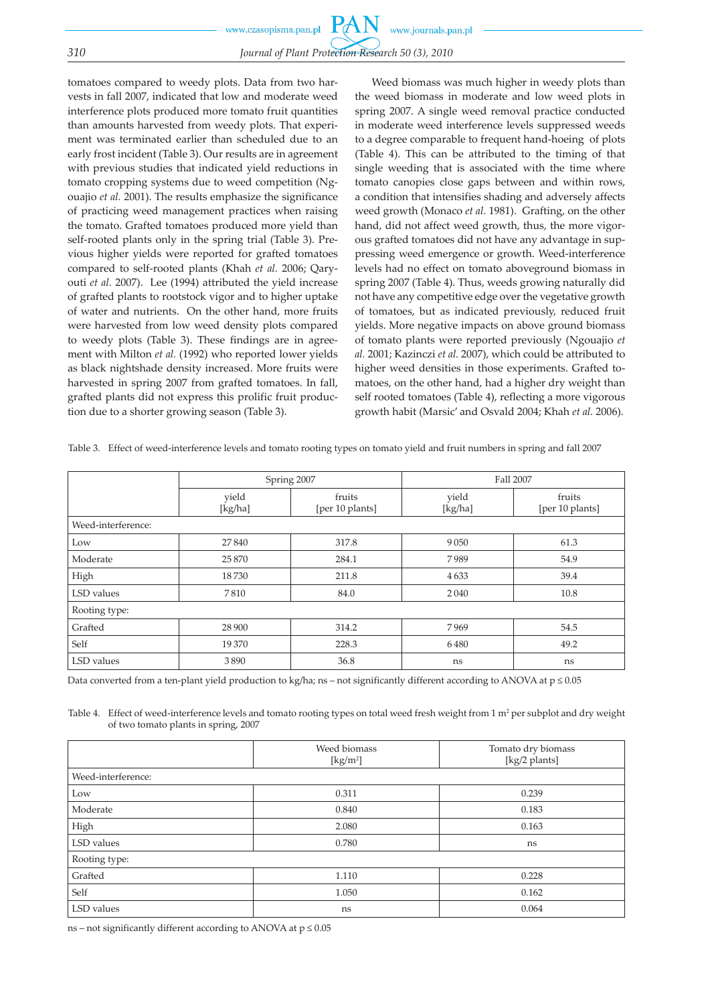tomatoes compared to weedy plots. Data from two harvests in fall 2007, indicated that low and moderate weed interference plots produced more tomato fruit quantities than amounts harvested from weedy plots. That experiment was terminated earlier than scheduled due to an early frost incident (Table 3). Our results are in agreement with previous studies that indicated yield reductions in tomato cropping systems due to weed competition (Ngouajio *et al.* 2001). The results emphasize the significance of practicing weed management practices when raising the tomato. Grafted tomatoes produced more yield than self-rooted plants only in the spring trial (Table 3). Previous higher yields were reported for grafted tomatoes compared to self-rooted plants (Khah *et al.* 2006; Qaryouti *et al.* 2007). Lee (1994) attributed the yield increase of grafted plants to rootstock vigor and to higher uptake of water and nutrients. On the other hand, more fruits were harvested from low weed density plots compared to weedy plots (Table 3). These findings are in agreement with Milton *et al.* (1992) who reported lower yields as black nightshade density increased. More fruits were harvested in spring 2007 from grafted tomatoes. In fall, grafted plants did not express this prolific fruit production due to a shorter growing season (Table 3).

Weed biomass was much higher in weedy plots than the weed biomass in moderate and low weed plots in spring 2007. A single weed removal practice conducted in moderate weed interference levels suppressed weeds to a degree comparable to frequent hand-hoeing of plots (Table 4). This can be attributed to the timing of that single weeding that is associated with the time where tomato canopies close gaps between and within rows, a condition that intensifies shading and adversely affects weed growth (Monaco *et al.* 1981). Grafting, on the other hand, did not affect weed growth, thus, the more vigorous grafted tomatoes did not have any advantage in suppressing weed emergence or growth. Weed-interference levels had no effect on tomato aboveground biomass in spring 2007 (Table 4). Thus, weeds growing naturally did not have any competitive edge over the vegetative growth of tomatoes, but as indicated previously, reduced fruit yields. More negative impacts on above ground biomass of tomato plants were reported previously (Ngouajio *et al.* 2001; Kazinczi *et al.* 2007), which could be attributed to higher weed densities in those experiments. Grafted tomatoes, on the other hand, had a higher dry weight than self rooted tomatoes (Table 4), reflecting a more vigorous growth habit (Marsic' and Osvald 2004; Khah *et al.* 2006).

|  |  |  |  | Table 3. Effect of weed-interference levels and tomato rooting types on tomato yield and fruit numbers in spring and fall 2007 |
|--|--|--|--|--------------------------------------------------------------------------------------------------------------------------------|
|--|--|--|--|--------------------------------------------------------------------------------------------------------------------------------|

|                    | Spring 2007      |                           | Fall 2007        |                           |  |
|--------------------|------------------|---------------------------|------------------|---------------------------|--|
|                    | yield<br>[kg/ha] | fruits<br>[per 10 plants] | yield<br>[kg/ha] | fruits<br>[per 10 plants] |  |
| Weed-interference: |                  |                           |                  |                           |  |
| Low                | 27840            | 317.8                     | 9 0 5 0          | 61.3                      |  |
| Moderate           | 25870            | 284.1                     | 7989             | 54.9                      |  |
| High               | 18730            | 211.8                     | 4633             | 39.4                      |  |
| LSD values         | 7810             | 84.0                      | 2040             | 10.8                      |  |
| Rooting type:      |                  |                           |                  |                           |  |
| Grafted            | 28 900           | 314.2                     | 7969             | 54.5                      |  |
| Self               | 19370            | 228.3                     | 6480             | 49.2                      |  |
| LSD values         | 3890             | 36.8                      | ns               | ns                        |  |

Data converted from a ten-plant yield production to kg/ha; ns – not significantly different according to ANOVA at p ≤ 0.05

Table 4. Effect of weed-interference levels and tomato rooting types on total weed fresh weight from  $1 \text{ m}^2$  per subplot and dry weight of two tomato plants in spring, 2007

|                    | Weed biomass<br>$\left[\mathrm{kg/m^2}\right]$ | Tomato dry biomass<br>[kg/2 plants] |
|--------------------|------------------------------------------------|-------------------------------------|
| Weed-interference: |                                                |                                     |
| Low                | 0.311                                          | 0.239                               |
| Moderate           | 0.840                                          | 0.183                               |
| High               | 2.080                                          | 0.163                               |
| LSD values         | 0.780                                          | ns                                  |
| Rooting type:      |                                                |                                     |
| Grafted            | 1.110                                          | 0.228                               |
| Self               | 1.050                                          | 0.162                               |
| LSD values         | ns                                             | 0.064                               |

ns – not significantly different according to ANOVA at  $p \leq 0.05$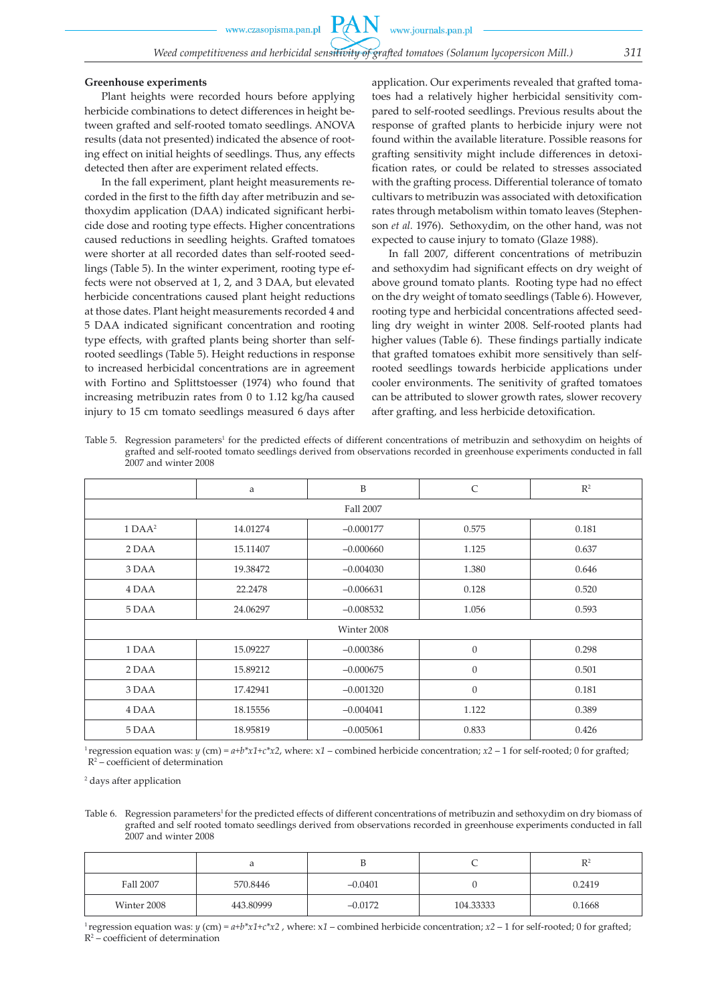#### **Greenhouse experiments**

Plant heights were recorded hours before applying herbicide combinations to detect differences in height between grafted and self-rooted tomato seedlings. ANOVA results (data not presented) indicated the absence of rooting effect on initial heights of seedlings. Thus, any effects detected then after are experiment related effects.

In the fall experiment, plant height measurements recorded in the first to the fifth day after metribuzin and sethoxydim application (DAA) indicated significant herbicide dose and rooting type effects. Higher concentrations caused reductions in seedling heights. Grafted tomatoes were shorter at all recorded dates than self-rooted seedlings (Table 5). In the winter experiment, rooting type effects were not observed at 1, 2, and 3 DAA, but elevated herbicide concentrations caused plant height reductions at those dates. Plant height measurements recorded 4 and 5 DAA indicated significant concentration and rooting type effects, with grafted plants being shorter than selfrooted seedlings (Table 5). Height reductions in response to increased herbicidal concentrations are in agreement with Fortino and Splittstoesser (1974) who found that increasing metribuzin rates from 0 to 1.12 kg/ha caused injury to 15 cm tomato seedlings measured 6 days after application. Our experiments revealed that grafted tomatoes had a relatively higher herbicidal sensitivity compared to self-rooted seedlings. Previous results about the response of grafted plants to herbicide injury were not found within the available literature. Possible reasons for grafting sensitivity might include differences in detoxification rates, or could be related to stresses associated with the grafting process. Differential tolerance of tomato cultivars to metribuzin was associated with detoxification rates through metabolism within tomato leaves (Stephenson *et al.* 1976). Sethoxydim, on the other hand, was not expected to cause injury to tomato (Glaze 1988).

In fall 2007, different concentrations of metribuzin and sethoxydim had significant effects on dry weight of above ground tomato plants. Rooting type had no effect on the dry weight of tomato seedlings (Table 6). However, rooting type and herbicidal concentrations affected seedling dry weight in winter 2008. Self-rooted plants had higher values (Table 6). These findings partially indicate that grafted tomatoes exhibit more sensitively than selfrooted seedlings towards herbicide applications under cooler environments. The senitivity of grafted tomatoes can be attributed to slower growth rates, slower recovery after grafting, and less herbicide detoxification.

Table 5. Regression parameters<sup>1</sup> for the predicted effects of different concentrations of metribuzin and sethoxydim on heights of grafted and self-rooted tomato seedlings derived from observations recorded in greenhouse experiments conducted in fall 2007 and winter 2008

|                     | a         | B           | $\mathsf{C}$   | $\mathbb{R}^2$ |  |  |
|---------------------|-----------|-------------|----------------|----------------|--|--|
|                     | Fall 2007 |             |                |                |  |  |
| $1\,\mathrm{DAA}^2$ | 14.01274  | $-0.000177$ | 0.575          | 0.181          |  |  |
| 2 DAA               | 15.11407  | $-0.000660$ | 1.125          | 0.637          |  |  |
| 3 DAA               | 19.38472  | $-0.004030$ | 1.380          | 0.646          |  |  |
| 4 DAA               | 22.2478   | $-0.006631$ | 0.128          | 0.520          |  |  |
| 5 DAA               | 24.06297  | $-0.008532$ | 1.056          | 0.593          |  |  |
| Winter 2008         |           |             |                |                |  |  |
| 1 DAA               | 15.09227  | $-0.000386$ | $\theta$       | 0.298          |  |  |
| 2 DAA               | 15.89212  | $-0.000675$ | $\theta$       | 0.501          |  |  |
| 3 DAA               | 17.42941  | $-0.001320$ | $\overline{0}$ | 0.181          |  |  |
| 4 DAA               | 18.15556  | $-0.004041$ | 1.122          | 0.389          |  |  |
| 5 DAA               | 18.95819  | $-0.005061$ | 0.833          | 0.426          |  |  |

<sup>1</sup> regression equation was:  $y$  (cm) =  $a+b*x1+c*x2$ , where:  $x1$  – combined herbicide concentration;  $x2 - 1$  for self-rooted; 0 for grafted; R2 – coefficient of determination

2 days after application

Table 6. Regression parameters<sup>1</sup> for the predicted effects of different concentrations of metribuzin and sethoxydim on dry biomass of grafted and self rooted tomato seedlings derived from observations recorded in greenhouse experiments conducted in fall 2007 and winter 2008

|             | a         |           |           | $\mathbb{R}^2$ |
|-------------|-----------|-----------|-----------|----------------|
| Fall 2007   | 570.8446  | $-0.0401$ |           | 0.2419         |
| Winter 2008 | 443.80999 | $-0.0172$ | 104.33333 | 0.1668         |

<sup>1</sup> regression equation was: *y* (cm) =  $a+b*x1+c*x2$ , where:  $x1$  – combined herbicide concentration;  $x2$  – 1 for self-rooted; 0 for grafted; R2 – coefficient of determination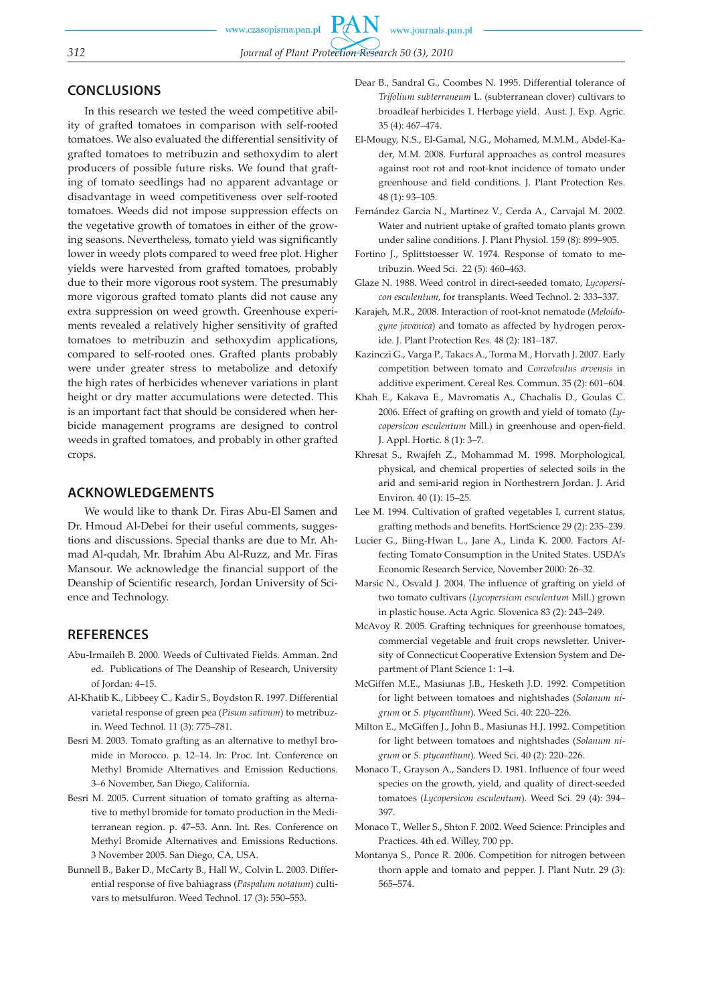## **CONCLUSIONS**

In this research we tested the weed competitive ability of grafted tomatoes in comparison with self-rooted tomatoes. We also evaluated the differential sensitivity of grafted tomatoes to metribuzin and sethoxydim to alert producers of possible future risks. We found that grafting of tomato seedlings had no apparent advantage or disadvantage in weed competitiveness over self-rooted tomatoes. Weeds did not impose suppression effects on the vegetative growth of tomatoes in either of the growing seasons. Nevertheless, tomato yield was significantly lower in weedy plots compared to weed free plot. Higher yields were harvested from grafted tomatoes, probably due to their more vigorous root system. The presumably more vigorous grafted tomato plants did not cause any extra suppression on weed growth. Greenhouse experiments revealed a relatively higher sensitivity of grafted tomatoes to metribuzin and sethoxydim applications, compared to self-rooted ones. Grafted plants probably were under greater stress to metabolize and detoxify the high rates of herbicides whenever variations in plant height or dry matter accumulations were detected. This is an important fact that should be considered when herbicide management programs are designed to control weeds in grafted tomatoes, and probably in other grafted crops.

### **ACKNOWLEDGEMENTS**

We would like to thank Dr. Firas Abu-El Samen and Dr. Hmoud Al-Debei for their useful comments, suggestions and discussions. Special thanks are due to Mr. Ahmad Al-qudah, Mr. Ibrahim Abu Al-Ruzz, and Mr. Firas Mansour. We acknowledge the financial support of the Deanship of Scientific research, Jordan University of Science and Technology.

### **REFERENCES**

- Abu-Irmaileh B. 2000. Weeds of Cultivated Fields. Amman. 2nd ed. Publications of The Deanship of Research, University of Jordan: 4–15.
- Al-Khatib K., Libbeey C., Kadir S., Boydston R. 1997. Differential varietal response of green pea (*Pisum sativum*) to metribuzin. Weed Technol. 11 (3): 775–781.
- Besri M. 2003. Tomato grafting as an alternative to methyl bromide in Morocco. p. 12–14. In: Proc. Int. Conference on Methyl Bromide Alternatives and Emission Reductions. 3–6 November, San Diego, California.
- Besri M. 2005. Current situation of tomato grafting as alternative to methyl bromide for tomato production in the Mediterranean region. p. 47–53. Ann. Int. Res. Conference on Methyl Bromide Alternatives and Emissions Reductions. 3 November 2005. San Diego, CA, USA.
- Bunnell B., Baker D., McCarty B., Hall W., Colvin L. 2003. Differential response of five bahiagrass (*Paspalum notatum*) cultivars to metsulfuron. Weed Technol. 17 (3): 550–553.
- Dear B., Sandral G., Coombes N. 1995. Differential tolerance of *Trifolium subterraneum* L. (subterranean clover) cultivars to broadleaf herbicides 1. Herbage yield. Aust. J. Exp. Agric. 35 (4): 467–474.
- El-Mougy, N.S., El-Gamal, N.G., Mohamed, M.M.M., Abdel-Kader, M.M. 2008. Furfural approaches as control measures against root rot and root-knot incidence of tomato under greenhouse and field conditions. J. Plant Protection Res. 48 (1): 93–105.
- Fernández Garcia N., Martinez V., Cerda A., Carvajal M. 2002. Water and nutrient uptake of grafted tomato plants grown under saline conditions. J. Plant Physiol. 159 (8): 899–905.
- Fortino J., Splittstoesser W. 1974. Response of tomato to metribuzin. Weed Sci. 22 (5): 460–463.
- Glaze N. 1988. Weed control in direct-seeded tomato, *Lycopersicon esculentum,* for transplants. Weed Technol. 2: 333–337.
- Karajeh, M.R., 2008. Interaction of root-knot nematode (*Meloidogyne javanica*) and tomato as affected by hydrogen peroxide. J. Plant Protection Res. 48 (2): 181–187.
- Kazinczi G., Varga P., Takacs A., Torma M., Horvath J. 2007. Early competition between tomato and *Convolvulus arvensis* in additive experiment. Cereal Res. Commun. 35 (2): 601–604.
- Khah E., Kakava E., Mavromatis A., Chachalis D., Goulas C. 2006. Effect of grafting on growth and yield of tomato (*Lycopersicon esculentum* Mill.) in greenhouse and open-field. J. Appl. Hortic. 8 (1): 3–7.
- Khresat S., Rwajfeh Z., Mohammad M. 1998. Morphological, physical, and chemical properties of selected soils in the arid and semi-arid region in Northestrern Jordan. J. Arid Environ. 40 (1): 15–25.
- Lee M. 1994. Cultivation of grafted vegetables I, current status, grafting methods and benefits. HortScience 29 (2): 235–239.
- Lucier G., Biing-Hwan L., Jane A., Linda K. 2000. Factors Affecting Tomato Consumption in the United States. USDA's Economic Research Service, November 2000: 26–32.
- Marsic N., Osvald J. 2004. The influence of grafting on yield of two tomato cultivars (*Lycopersicon esculentum* Mill.) grown in plastic house. Acta Agric. Slovenica 83 (2): 243–249.
- McAvoy R. 2005. Grafting techniques for greenhouse tomatoes, commercial vegetable and fruit crops newsletter. University of Connecticut Cooperative Extension System and Department of Plant Science 1: 1–4.
- McGiffen M.E., Masiunas J.B., Hesketh J.D. 1992. Competition for light between tomatoes and nightshades (*Solanum nigrum* or *S. ptycanthum*). Weed Sci. 40: 220–226.
- Milton E., McGiffen J., John B., Masiunas H.J. 1992. Competition for light between tomatoes and nightshades (*Solanum nigrum* or *S. ptycanthum*). Weed Sci. 40 (2): 220–226.
- Monaco T., Grayson A., Sanders D. 1981. Influence of four weed species on the growth, yield, and quality of direct-seeded tomatoes (*Lycopersicon esculentum*). Weed Sci. 29 (4): 394– 397.
- Monaco T., Weller S., Shton F. 2002. Weed Science: Principles and Practices. 4th ed. Willey, 700 pp.
- Montanya S., Ponce R. 2006. Competition for nitrogen between thorn apple and tomato and pepper. J. Plant Nutr. 29 (3): 565–574.